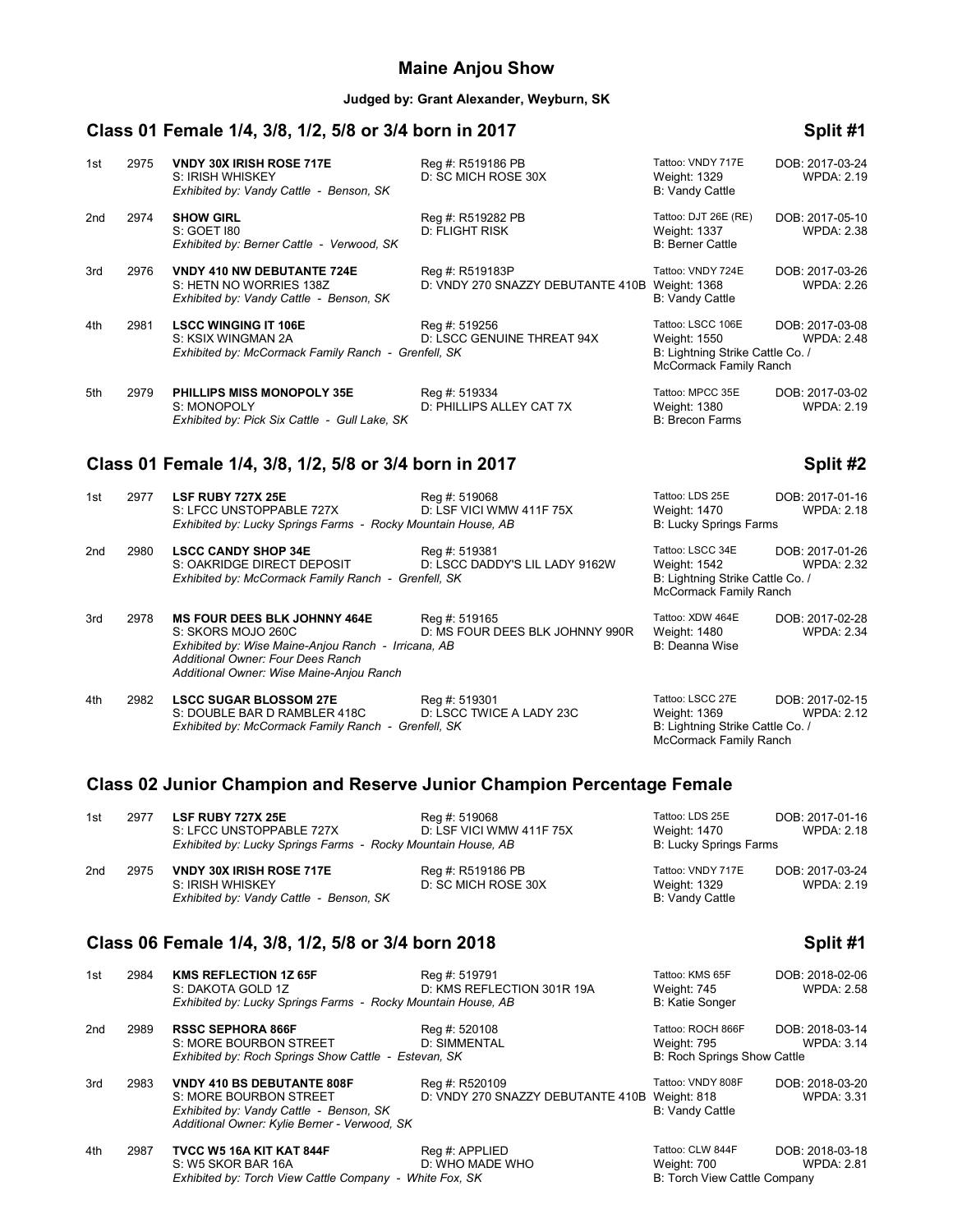#### **Maine Anjou Show**

#### **Judged by: Grant Alexander, Weyburn, SK**

### **Class 01 Female 1/4, 3/8, 1/2, 5/8 or 3/4 born in 2017 Split #1**

| 1st | 2975 | <b>VNDY 30X IRISH ROSE 717E</b><br>S: IRISH WHISKEY<br>Exhibited by: Vandy Cattle - Benson, SK           | Reg #: R519186 PB<br>D: SC MICH ROSE 30X             | Tattoo: VNDY 717E<br>Weight: 1329<br>B: Vandy Cattle                                            | DOB: 2017-03-24<br><b>WPDA: 2.19</b> |
|-----|------|----------------------------------------------------------------------------------------------------------|------------------------------------------------------|-------------------------------------------------------------------------------------------------|--------------------------------------|
| 2nd | 2974 | <b>SHOW GIRL</b><br>S: GOET 180<br>Exhibited by: Berner Cattle - Verwood, SK                             | Reg #: R519282 PB<br>D: FLIGHT RISK                  | Tattoo: DJT 26E (RE)<br><b>Weight: 1337</b><br><b>B: Berner Cattle</b>                          | DOB: 2017-05-10<br><b>WPDA: 2.38</b> |
| 3rd | 2976 | <b>VNDY 410 NW DEBUTANTE 724E</b><br>S: HETN NO WORRIES 138Z<br>Exhibited by: Vandy Cattle - Benson, SK  | Reg #: R519183P<br>D: VNDY 270 SNAZZY DEBUTANTE 410B | Tattoo: VNDY 724E<br>Weight: 1368<br>B: Vandy Cattle                                            | DOB: 2017-03-26<br><b>WPDA: 2.26</b> |
| 4th | 2981 | <b>LSCC WINGING IT 106E</b><br>S: KSIX WINGMAN 2A<br>Exhibited by: McCormack Family Ranch - Grenfell, SK | Reg #: 519256<br>D: LSCC GENUINE THREAT 94X          | Tattoo: LSCC 106E<br>Weight: 1550<br>B: Lightning Strike Cattle Co. /<br>McCormack Family Ranch | DOB: 2017-03-08<br><b>WPDA: 2.48</b> |
| 5th | 2979 | <b>PHILLIPS MISS MONOPOLY 35E</b><br>S: MONOPOLY<br>Exhibited by: Pick Six Cattle - Gull Lake, SK        | Reg #: 519334<br>D: PHILLIPS ALLEY CAT 7X            | Tattoo: MPCC 35E<br>Weight: 1380<br><b>B: Brecon Farms</b>                                      | DOB: 2017-03-02<br><b>WPDA: 2.19</b> |

# **Class 01 Female 1/4, 3/8, 1/2, 5/8 or 3/4 born in 2017 Split #2**

*Additional Owner: Wise Maine-Anjou Ranch*

| 1st | 2977 | <b>LSF RUBY 727X 25E</b><br>S: LFCC UNSTOPPABLE 727X<br>Exhibited by: Lucky Springs Farms - Rocky Mountain House, AB                                  | Reg #: 519068<br>D: LSF VICI WMW 411F 75X        | Tattoo: LDS 25E<br>Weight: 1470<br><b>B: Lucky Springs Farms</b>                               | DOB: 2017-01-16<br><b>WPDA: 2.18</b> |
|-----|------|-------------------------------------------------------------------------------------------------------------------------------------------------------|--------------------------------------------------|------------------------------------------------------------------------------------------------|--------------------------------------|
| 2nd | 2980 | <b>LSCC CANDY SHOP 34E</b><br>S: OAKRIDGE DIRECT DEPOSIT<br>Exhibited by: McCormack Family Ranch - Grenfell, SK                                       | Reg #: 519381<br>D: LSCC DADDY'S LIL LADY 9162W  | Tattoo: LSCC 34E<br>Weight: 1542<br>B: Lightning Strike Cattle Co. /<br>McCormack Family Ranch | DOB: 2017-01-26<br><b>WPDA: 2.32</b> |
| 3rd | 2978 | <b>MS FOUR DEES BLK JOHNNY 464E</b><br>S: SKORS MOJO 260C<br>Exhibited by: Wise Maine-Anjou Ranch - Irricana, AB<br>Additional Owner: Four Dees Ranch | Reg #: 519165<br>D: MS FOUR DEES BLK JOHNNY 990R | Tattoo: XDW 464E<br>Weight: 1480<br>B: Deanna Wise                                             | DOB: 2017-02-28<br><b>WPDA: 2.34</b> |

| 4th | 2982 | <b>LSCC SUGAR BLOSSOM 27E</b>                       | Reg #: 519301            | Tattoo: LSCC 27E                 | DOB: 2017-02-15   |
|-----|------|-----------------------------------------------------|--------------------------|----------------------------------|-------------------|
|     |      | S: DOUBLE BAR D RAMBLER 418C                        | D: LSCC TWICE A LADY 23C | Weight: 1369                     | <b>WPDA: 2.12</b> |
|     |      | Exhibited by: McCormack Family Ranch - Grenfell, SK |                          | B: Lightning Strike Cattle Co. / |                   |

# ttoo: LSCC 27E **DOB: 2017-02-15** McCormack Family Ranch

### **Class 02 Junior Champion and Reserve Junior Champion Percentage Female**

| 1st | 2977 | <b>LSF RUBY 727X 25E</b><br>S: LFCC UNSTOPPABLE 727X<br>Exhibited by: Lucky Springs Farms - Rocky Mountain House, AB | Reg #: 519068<br>D: LSF VICI WMW 411F 75X | Tattoo: LDS 25E<br>Weight: 1470<br>B: Lucky Springs Farms | DOB: 2017-01-16<br><b>WPDA: 2.18</b> |
|-----|------|----------------------------------------------------------------------------------------------------------------------|-------------------------------------------|-----------------------------------------------------------|--------------------------------------|
| 2nd | 2975 | <b>VNDY 30X IRISH ROSE 717E</b><br>S: IRISH WHISKEY<br>Exhibited by: Vandy Cattle - Benson, SK                       | Reg #: R519186 PB<br>D: SC MICH ROSE 30X  | Tattoo: VNDY 717E<br>Weight: 1329<br>B: Vandy Cattle      | DOB: 2017-03-24<br><b>WPDA: 2.19</b> |

### **Class 06 Female 1/4, 3/8, 1/2, 5/8 or 3/4 born 2018 Split #1**

| 1st | 2984 | <b>KMS REFLECTION 1Z 65F</b><br>S: DAKOTA GOLD 1Z                                                                                                      | Reg #: 519791<br>D: KMS REFLECTION 301R 19A                     | Tattoo: KMS 65F<br>Weight: 745                                         | DOB: 2018-02-06<br><b>WPDA: 2.58</b> |
|-----|------|--------------------------------------------------------------------------------------------------------------------------------------------------------|-----------------------------------------------------------------|------------------------------------------------------------------------|--------------------------------------|
|     |      | Exhibited by: Lucky Springs Farms - Rocky Mountain House, AB                                                                                           |                                                                 | <b>B: Katie Songer</b>                                                 |                                      |
| 2nd | 2989 | <b>RSSC SEPHORA 866F</b><br>S: MORE BOURBON STREET<br>Exhibited by: Roch Springs Show Cattle - Estevan, SK                                             | Reg #: 520108<br>D: SIMMENTAL                                   | Tattoo: ROCH 866F<br>Weight: 795<br><b>B: Roch Springs Show Cattle</b> | DOB: 2018-03-14<br><b>WPDA: 3.14</b> |
| 3rd | 2983 | <b>VNDY 410 BS DEBUTANTE 808F</b><br>S: MORE BOURBON STREET<br>Exhibited by: Vandy Cattle - Benson, SK<br>Additional Owner: Kylie Berner - Verwood, SK | Reg #: R520109<br>D: VNDY 270 SNAZZY DEBUTANTE 410B Weight: 818 | Tattoo: VNDY 808F<br><b>B: Vandy Cattle</b>                            | DOB: 2018-03-20<br><b>WPDA: 3.31</b> |
| 4th | 2987 | TVCC W5 16A KIT KAT 844F<br>S: W5 SKOR BAR 16A<br>Exhibited by: Torch View Cattle Company - White Fox, SK                                              | Reg #: APPLIED<br>D: WHO MADE WHO                               | Tattoo: CLW 844F<br>Weight: 700<br>B: Torch View Cattle Company        | DOB: 2018-03-18<br><b>WPDA: 2.81</b> |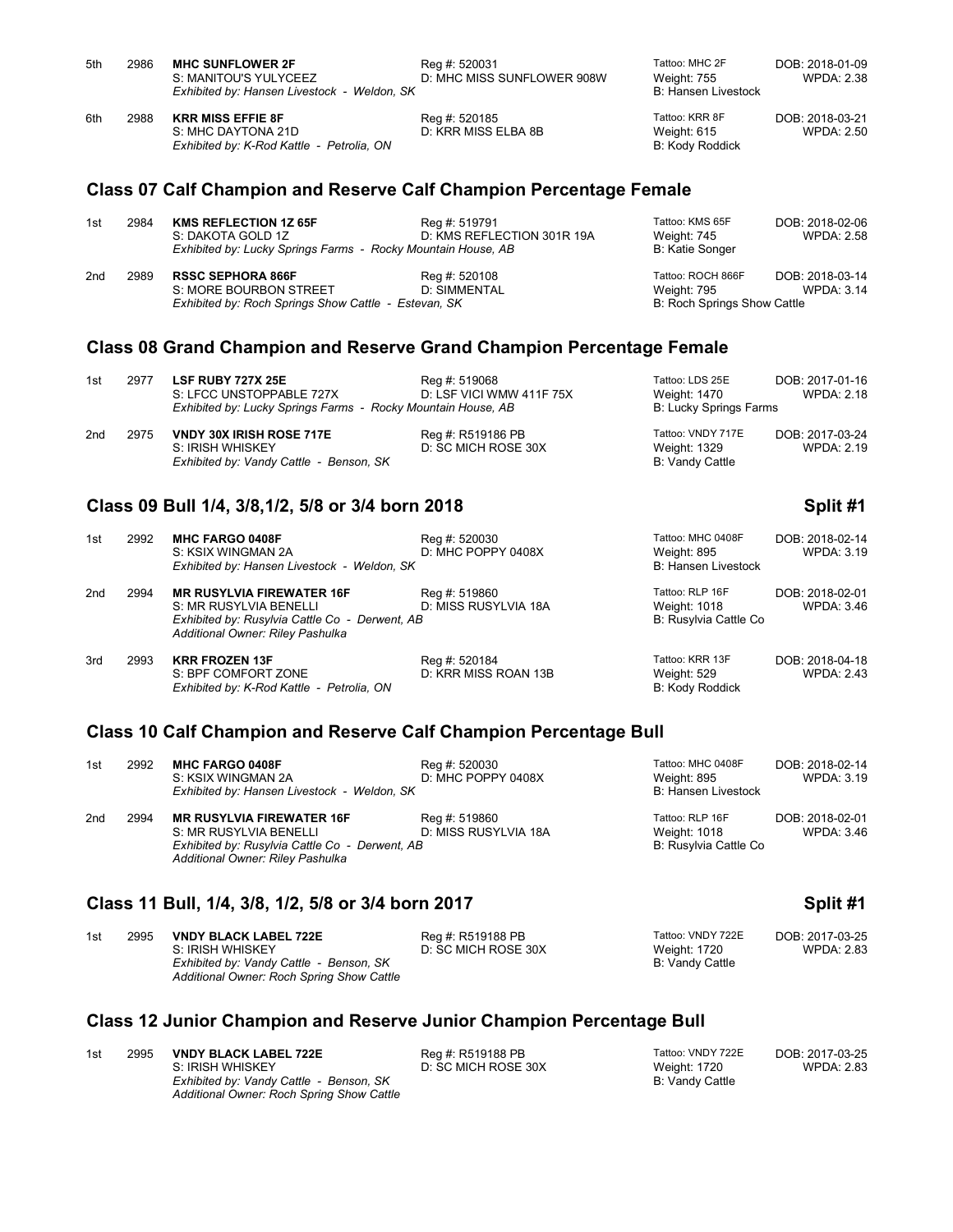| 5th | 2986 | <b>MHC SUNFLOWER 2F</b><br>S: MANITOU'S YULYCEEZ<br>Exhibited by: Hansen Livestock - Weldon, SK | Reg #: 520031<br>D: MHC MISS SUNFLOWER 908W | Tattoo: MHC 2F<br>Weight: 755<br>B: Hansen Livestock | DOB: 2018-01-09<br>WPDA: 2.38 |
|-----|------|-------------------------------------------------------------------------------------------------|---------------------------------------------|------------------------------------------------------|-------------------------------|
| 6th | 2988 | <b>KRR MISS EFFIE 8F</b><br>S: MHC DAYTONA 21D<br>Exhibited by: K-Rod Kattle - Petrolia, ON     | Reg #: 520185<br>D: KRR MISS ELBA 8B        | Tattoo: KRR 8F<br>Weight: 615<br>B: Kody Roddick     | DOB: 2018-03-21<br>WPDA: 2.50 |

#### **Class 07 Calf Champion and Reserve Calf Champion Percentage Female**

| 1st | 2984 | <b>KMS REFLECTION 1Z 65F</b><br>S: DAKOTA GOLD 1Z<br>Exhibited by: Lucky Springs Farms - Rocky Mountain House, AB | Reg #: 519791<br>D: KMS REFLECTION 301R 19A | Tattoo: KMS 65F<br>Weight: 745<br>B: Katie Songer                      | DOB: 2018-02-06<br><b>WPDA: 2.58</b> |
|-----|------|-------------------------------------------------------------------------------------------------------------------|---------------------------------------------|------------------------------------------------------------------------|--------------------------------------|
| 2nd | 2989 | <b>RSSC SEPHORA 866F</b><br>S: MORE BOURBON STREET<br>Exhibited by: Roch Springs Show Cattle - Estevan, SK        | Reg #: 520108<br>D: SIMMENTAL               | Tattoo: ROCH 866F<br>Weight: 795<br><b>B: Roch Springs Show Cattle</b> | DOB: 2018-03-14<br><b>WPDA: 3.14</b> |

#### **Class 08 Grand Champion and Reserve Grand Champion Percentage Female**

| 1st | 2977 | <b>LSF RUBY 727X 25E</b><br>S: LFCC UNSTOPPABLE 727X<br>Exhibited by: Lucky Springs Farms - Rocky Mountain House, AB | Reg #: 519068<br>D: LSF VICI WMW 411F 75X | Tattoo: LDS 25E<br>Weight: 1470<br>B: Lucky Springs Farms | DOB: 2017-01-16<br><b>WPDA: 2.18</b> |
|-----|------|----------------------------------------------------------------------------------------------------------------------|-------------------------------------------|-----------------------------------------------------------|--------------------------------------|
| 2nd | 2975 | <b>VNDY 30X IRISH ROSE 717E</b><br>S: IRISH WHISKEY<br>Exhibited by: Vandy Cattle - Benson, SK                       | Reg #: R519186 PB<br>D: SC MICH ROSE 30X  | Tattoo: VNDY 717E<br>Weight: 1329<br>B: Vandy Cattle      | DOB: 2017-03-24<br><b>WPDA: 2.19</b> |

#### **Class 09 Bull 1/4, 3/8,1/2, 5/8 or 3/4 born 2018 Split #1**

| 1st | 2992 | <b>MHC FARGO 0408F</b><br>S: KSIX WINGMAN 2A<br>Exhibited by: Hansen Livestock - Weldon, SK                                                      | Reg #: 520030<br>D: MHC POPPY 0408X   | Tattoo: MHC 0408F<br>Weight: 895<br><b>B: Hansen Livestock</b>  | DOB: 2018-02-14<br><b>WPDA: 3.19</b> |
|-----|------|--------------------------------------------------------------------------------------------------------------------------------------------------|---------------------------------------|-----------------------------------------------------------------|--------------------------------------|
| 2nd | 2994 | <b>MR RUSYLVIA FIREWATER 16F</b><br>S: MR RUSYLVIA BENELLI<br>Exhibited by: Rusylvia Cattle Co - Derwent, AB<br>Additional Owner: Riley Pashulka | Reg #: 519860<br>D: MISS RUSYLVIA 18A | Tattoo: RLP 16F<br>Weight: 1018<br>B: Rusylvia Cattle Co        | DOB: 2018-02-01<br><b>WPDA: 3.46</b> |
| 3rd | 2993 | <b>KRR FROZEN 13F</b><br>S: BPF COMFORT ZONE<br>Exhibited by: K-Rod Kattle - Petrolia, ON                                                        | Reg #: 520184<br>D: KRR MISS ROAN 13B | Tattoo: KRR 13F<br><b>Weight: 529</b><br><b>B: Kody Roddick</b> | DOB: 2018-04-18<br><b>WPDA: 2.43</b> |

## **Class 10 Calf Champion and Reserve Calf Champion Percentage Bull**

| 1st | 2992 | <b>MHC FARGO 0408F</b><br>S: KSIX WINGMAN 2A<br>Exhibited by: Hansen Livestock - Weldon, SK | Reg #: 520030<br>D: MHC POPPY 0408X | Tattoo: MHC 0408F<br>Weight: 895<br>B: Hansen Livestock | DOB: 2018-02-14<br>WPDA: 3.19 |
|-----|------|---------------------------------------------------------------------------------------------|-------------------------------------|---------------------------------------------------------|-------------------------------|
| 2nd | 2994 | <b>MR RUSYLVIA FIREWATER 16F</b>                                                            | Reg #: 519860                       | Tattoo: RLP 16F                                         | DOB: 2018-02-01               |
|     |      | S: MR RUSYLVIA BENELLI                                                                      | D: MISS RUSYLVIA 18A                | Weight: 1018                                            | WPDA: 3.46                    |
|     |      | Exhibited by: Rusylvia Cattle Co - Derwent, AB                                              |                                     | B: Rusylvia Cattle Co                                   |                               |
|     |      | Additional Owner: Rilev Pashulka                                                            |                                     |                                                         |                               |

### **Class 11 Bull, 1/4, 3/8, 1/2, 5/8 or 3/4 born 2017 Split #1**

| 1st | 2995 | <b>VNDY BLACK LABEL 722E</b>              | Rea #: R519188 PB   | Tattoo: VNDY 722E | DOB: 2017-03-25   |
|-----|------|-------------------------------------------|---------------------|-------------------|-------------------|
|     |      | S: IRISH WHISKEY                          | D: SC MICH ROSE 30X | Weight: 1720      | <b>WPDA: 2.83</b> |
|     |      | Exhibited by: Vandy Cattle - Benson, SK   |                     | B: Vandy Cattle   |                   |
|     |      | Additional Owner: Roch Spring Show Cattle |                     |                   |                   |

#### **Class 12 Junior Champion and Reserve Junior Champion Percentage Bull**

1st 2995 **VNDY BLACK LABEL 722E** Reg #: R519188 PB Tattoo: VNDY 722E DOB: 2017-03-25<br>1.83 S: IRISH WHISKEY **DE SC MICH ROSE 30X** Weight: 1720 WPDA: 2.83 *Exhibited by: Vandy Cattle - Benson, SK Additional Owner: Roch Spring Show Cattle*

Situal IT IRISH WHISKEY DISPONSION OF LAST POSTS.<br>B: Vandy Cattle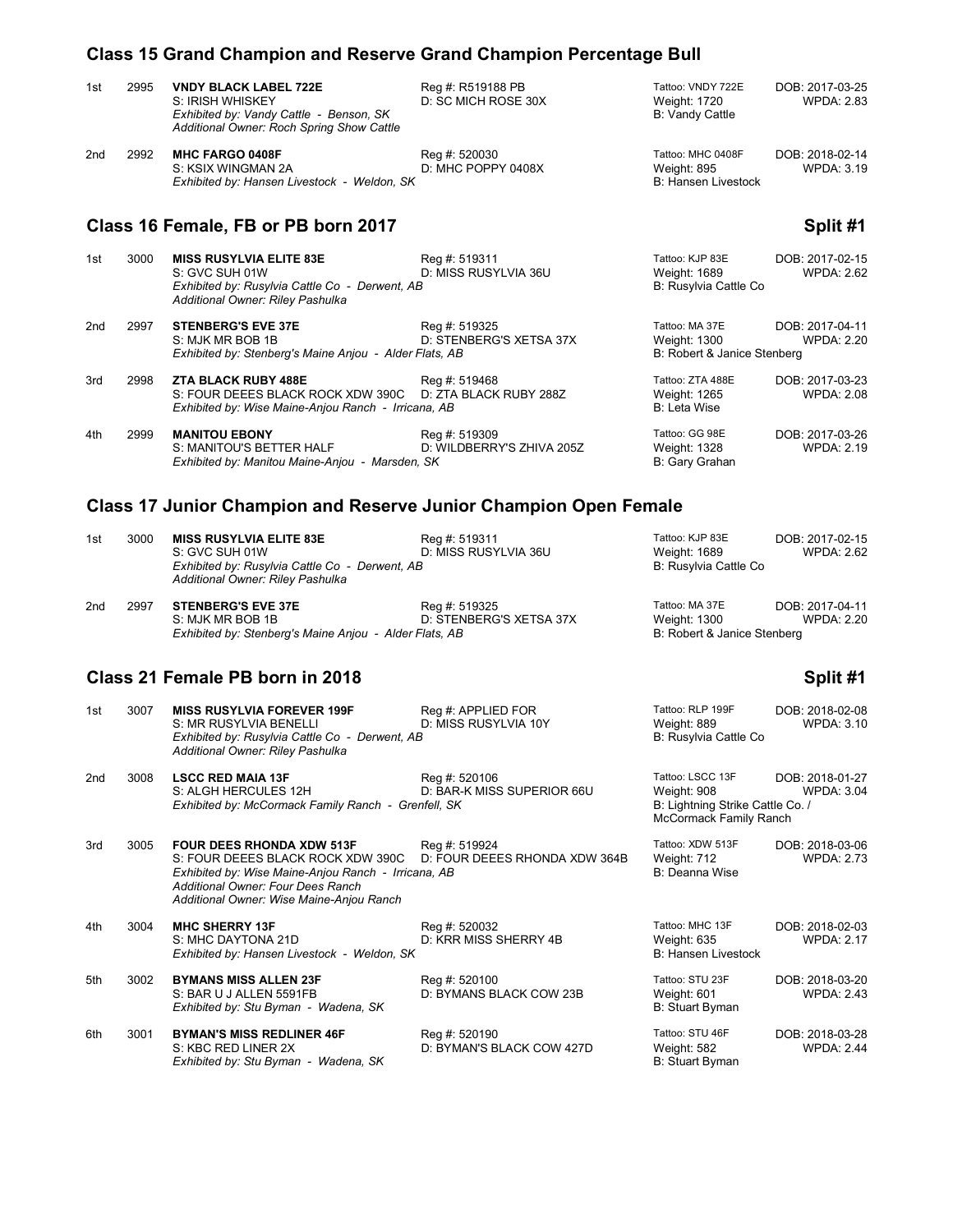# **Class 15 Grand Champion and Reserve Grand Champion Percentage Bull**

| 1st                                 | 2995 | <b>VNDY BLACK LABEL 722E</b><br>S: IRISH WHISKEY<br>Exhibited by: Vandy Cattle - Benson, SK<br>Additional Owner: Roch Spring Show Cattle | Reg #: R519188 PB<br>D: SC MICH ROSE 30X   | Tattoo: VNDY 722E<br>Weight: 1720<br><b>B: Vandy Cattle</b>   | DOB: 2017-03-25<br><b>WPDA: 2.83</b> |
|-------------------------------------|------|------------------------------------------------------------------------------------------------------------------------------------------|--------------------------------------------|---------------------------------------------------------------|--------------------------------------|
| 2nd                                 | 2992 | <b>MHC FARGO 0408F</b><br>S: KSIX WINGMAN 2A<br>Exhibited by: Hansen Livestock - Weldon, SK                                              | Reg #: 520030<br>D: MHC POPPY 0408X        | Tattoo: MHC 0408F<br>Weight: 895<br>B: Hansen Livestock       | DOB: 2018-02-14<br><b>WPDA: 3.19</b> |
| Class 16 Female, FB or PB born 2017 |      |                                                                                                                                          |                                            |                                                               | Split #1                             |
| 1st                                 | 3000 | <b>MISS RUSYLVIA ELITE 83E</b><br>S: GVC SUH 01W<br>Exhibited by: Rusylvia Cattle Co - Derwent, AB<br>Additional Owner: Riley Pashulka   | Reg #: 519311<br>D: MISS RUSYLVIA 36U      | Tattoo: KJP 83E<br>Weight: 1689<br>B: Rusylvia Cattle Co      | DOB: 2017-02-15<br><b>WPDA: 2.62</b> |
| 2nd                                 | 2997 | <b>STENBERG'S EVE 37E</b><br>S: MJK MR BOB 1B<br>Exhibited by: Stenberg's Maine Anjou - Alder Flats, AB                                  | Reg #: 519325<br>D: STENBERG'S XETSA 37X   | Tattoo: MA 37E<br>Weight: 1300<br>B: Robert & Janice Stenberg | DOB: 2017-04-11<br><b>WPDA: 2.20</b> |
| 3rd                                 | 2998 | <b>ZTA BLACK RUBY 488E</b><br>S: FOUR DEEES BLACK ROCK XDW 390C<br>Exhibited by: Wise Maine-Anjou Ranch - Irricana, AB                   | Reg #: 519468<br>D: ZTA BLACK RUBY 288Z    | Tattoo: ZTA 488E<br>Weight: 1265<br><b>B: Leta Wise</b>       | DOB: 2017-03-23<br><b>WPDA: 2.08</b> |
| 4th                                 | 2999 | <b>MANITOU EBONY</b><br>S: MANITOU'S BETTER HALF                                                                                         | Reg #: 519309<br>D: WILDBERRY'S ZHIVA 205Z | Tattoo: GG 98E<br>Weight: 1328                                | DOB: 2017-03-26<br><b>WPDA: 2.19</b> |

### **Class 17 Junior Champion and Reserve Junior Champion Open Female**

| 1st | 3000 | <b>MISS RUSYLVIA ELITE 83E</b>                         | Reg #: 519311           | Tattoo: KJP 83E             | DOB: 2017-02-15 |
|-----|------|--------------------------------------------------------|-------------------------|-----------------------------|-----------------|
|     |      | S: GVC SUH 01W                                         | D: MISS RUSYLVIA 36U    | Weight: 1689                | WPDA: 2.62      |
|     |      | Exhibited by: Rusylvia Cattle Co - Derwent, AB         |                         | B: Rusylvia Cattle Co       |                 |
|     |      | Additional Owner: Riley Pashulka                       |                         |                             |                 |
| 2nd | 2997 | <b>STENBERG'S EVE 37E</b>                              | Reg #: 519325           | Tattoo: MA 37E              | DOB: 2017-04-11 |
|     |      | S: MJK MR BOB 1B                                       | D: STENBERG'S XETSA 37X | Weight: 1300                | WPDA: 2.20      |
|     |      | Exhibited by: Stenberg's Maine Anjou - Alder Flats, AB |                         | B: Robert & Janice Stenberg |                 |
|     |      |                                                        |                         |                             |                 |

*Exhibited by: Manitou Maine-Anjou - Marsden, SK* B: Biogram B: Gary Grahan

# **Class 21 Female PB born in 2018 Split #1 Split #1 Split #1**

| 1st | 3007 | <b>MISS RUSYLVIA FOREVER 199F</b><br>S: MR RUSYLVIA BENELLI<br>Exhibited by: Rusylvia Cattle Co - Derwent, AB                                                                                                 | Reg #: APPLIED FOR<br>D: MISS RUSYLVIA 10Y     | Tattoo: RLP 199F<br>Weight: 889<br>B: Rusylvia Cattle Co                                             | DOB: 2018-02-08<br><b>WPDA: 3.10</b> |
|-----|------|---------------------------------------------------------------------------------------------------------------------------------------------------------------------------------------------------------------|------------------------------------------------|------------------------------------------------------------------------------------------------------|--------------------------------------|
| 2nd | 3008 | Additional Owner: Riley Pashulka<br><b>LSCC RED MAIA 13F</b><br>S: ALGH HERCULES 12H<br>Exhibited by: McCormack Family Ranch - Grenfell, SK                                                                   | Reg #: 520106<br>D: BAR-K MISS SUPERIOR 66U    | Tattoo: LSCC 13F<br>Weight: 908<br>B: Lightning Strike Cattle Co. /<br><b>McCormack Family Ranch</b> | DOB: 2018-01-27<br><b>WPDA: 3.04</b> |
| 3rd | 3005 | <b>FOUR DEES RHONDA XDW 513F</b><br>S: FOUR DEEES BLACK ROCK XDW 390C<br>Exhibited by: Wise Maine-Anjou Ranch - Irricana, AB<br>Additional Owner: Four Dees Ranch<br>Additional Owner: Wise Maine-Anjou Ranch | Reg #: 519924<br>D: FOUR DEEES RHONDA XDW 364B | Tattoo: XDW 513F<br>Weight: 712<br><b>B: Deanna Wise</b>                                             | DOB: 2018-03-06<br><b>WPDA: 2.73</b> |
| 4th | 3004 | <b>MHC SHERRY 13F</b><br>S: MHC DAYTONA 21D<br>Exhibited by: Hansen Livestock - Weldon, SK                                                                                                                    | Reg #: 520032<br>D: KRR MISS SHERRY 4B         | Tattoo: MHC 13F<br>Weight: 635<br><b>B: Hansen Livestock</b>                                         | DOB: 2018-02-03<br><b>WPDA: 2.17</b> |
| 5th | 3002 | <b>BYMANS MISS ALLEN 23F</b><br>S: BAR U J ALLEN 5591FB<br>Exhibited by: Stu Byman - Wadena, SK                                                                                                               | Reg #: 520100<br>D: BYMANS BLACK COW 23B       | Tattoo: STU 23F<br>Weight: 601<br><b>B: Stuart Byman</b>                                             | DOB: 2018-03-20<br><b>WPDA: 2.43</b> |
| 6th | 3001 | <b>BYMAN'S MISS REDLINER 46F</b><br>S: KBC RED LINER 2X<br>Exhibited by: Stu Byman - Wadena, SK                                                                                                               | Reg #: 520190<br>D: BYMAN'S BLACK COW 427D     | Tattoo: STU 46F<br>Weight: 582<br><b>B: Stuart Byman</b>                                             | DOB: 2018-03-28<br><b>WPDA: 2.44</b> |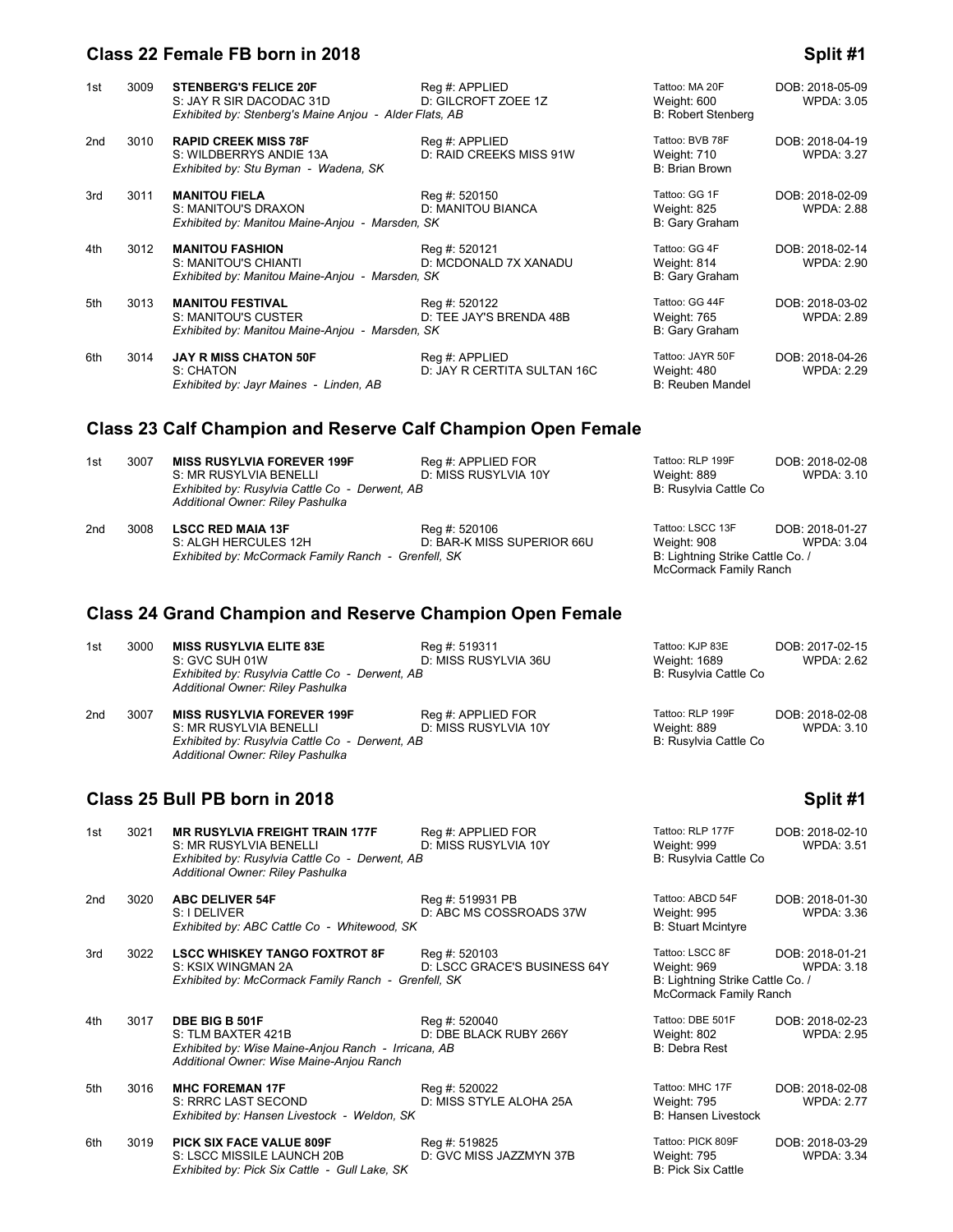# **Class 22 Female FB born in 2018 Split #1 Split #1 Split #1**

| 1st             | 3009 | <b>STENBERG'S FELICE 20F</b><br>S: JAY R SIR DACODAC 31D<br>Exhibited by: Stenberg's Maine Anjou - Alder Flats, AB | Reg #: APPLIED<br>D: GILCROFT ZOEE 1Z         | Tattoo: MA 20F<br>Weight: 600<br><b>B: Robert Stenberg</b> | DOB: 2018-05-09<br><b>WPDA: 3.05</b> |
|-----------------|------|--------------------------------------------------------------------------------------------------------------------|-----------------------------------------------|------------------------------------------------------------|--------------------------------------|
| 2 <sub>nd</sub> | 3010 | <b>RAPID CREEK MISS 78F</b><br>S: WILDBERRYS ANDIE 13A<br>Exhibited by: Stu Byman - Wadena, SK                     | Reg #: APPLIED<br>D: RAID CREEKS MISS 91W     | Tattoo: BVB 78F<br>Weight: 710<br><b>B: Brian Brown</b>    | DOB: 2018-04-19<br><b>WPDA: 3.27</b> |
| 3rd             | 3011 | <b>MANITOU FIELA</b><br>S: MANITOU'S DRAXON<br>Exhibited by: Manitou Maine-Anjou - Marsden, SK                     | Reg #: 520150<br>D: MANITOU BIANCA            | Tattoo: GG 1F<br>Weight: 825<br>B: Gary Graham             | DOB: 2018-02-09<br><b>WPDA: 2.88</b> |
| 4th             | 3012 | <b>MANITOU FASHION</b><br>S: MANITOU'S CHIANTI<br>Exhibited by: Manitou Maine-Anjou - Marsden, SK                  | Reg #: 520121<br>D: MCDONALD 7X XANADU        | Tattoo: GG 4F<br>Weight: 814<br>B: Gary Graham             | DOB: 2018-02-14<br><b>WPDA: 2.90</b> |
| 5th             | 3013 | <b>MANITOU FESTIVAL</b><br>S: MANITOU'S CUSTER<br>Exhibited by: Manitou Maine-Anjou - Marsden, SK                  | Reg #: 520122<br>D: TEE JAY'S BRENDA 48B      | Tattoo: GG 44F<br>Weight: 765<br>B: Gary Graham            | DOB: 2018-03-02<br><b>WPDA: 2.89</b> |
| 6th             | 3014 | <b>JAY R MISS CHATON 50F</b><br>S: CHATON<br>Exhibited by: Jayr Maines - Linden, AB                                | Reg #: APPLIED<br>D: JAY R CERTITA SULTAN 16C | Tattoo: JAYR 50F<br>Weight: 480<br>B: Reuben Mandel        | DOB: 2018-04-26<br><b>WPDA: 2.29</b> |

# **Class 23 Calf Champion and Reserve Calf Champion Open Female**

| 1st | 3007 | <b>MISS RUSYLVIA FOREVER 199F</b><br>S: MR RUSYLVIA BENELLI                                             | Reg #: APPLIED FOR<br>D: MISS RUSYLVIA 10Y  | Tattoo: RLP 199F<br>Weight: 889                                                               | DOB: 2018-02-08<br>WPDA: 3.10 |
|-----|------|---------------------------------------------------------------------------------------------------------|---------------------------------------------|-----------------------------------------------------------------------------------------------|-------------------------------|
|     |      | Exhibited by: Rusylvia Cattle Co - Derwent, AB<br>Additional Owner: Riley Pashulka                      |                                             | B: Rusylvia Cattle Co                                                                         |                               |
| 2nd | 3008 | <b>LSCC RED MAIA 13F</b><br>S: ALGH HERCULES 12H<br>Exhibited by: McCormack Family Ranch - Grenfell, SK | Reg #: 520106<br>D: BAR-K MISS SUPERIOR 66U | Tattoo: LSCC 13F<br>Weight: 908<br>B: Lightning Strike Cattle Co. /<br>McCormack Family Ranch | DOB: 2018-01-27<br>WPDA: 3.04 |

# **Class 24 Grand Champion and Reserve Champion Open Female**

| 1st | 3000 | <b>MISS RUSYLVIA ELITE 83E</b>                 | Reg #: 519311        | Tattoo: KJP 83E       | DOB: 2017-02-15 |
|-----|------|------------------------------------------------|----------------------|-----------------------|-----------------|
|     |      | S: GVC SUH 01W                                 | D: MISS RUSYLVIA 36U | Weight: 1689          | WPDA: 2.62      |
|     |      | Exhibited by: Rusylvia Cattle Co - Derwent, AB |                      | B: Rusylvia Cattle Co |                 |
|     |      | Additional Owner: Riley Pashulka               |                      |                       |                 |
| 2nd | 3007 | <b>MISS RUSYLVIA FOREVER 199F</b>              | Reg #: APPLIED FOR   | Tattoo: RLP 199F      | DOB: 2018-02-08 |
|     |      | S: MR RUSYLVIA BENELLI                         | D: MISS RUSYLVIA 10Y | Weight: 889           | WPDA: 3.10      |
|     |      | Exhibited by: Rusylvia Cattle Co - Derwent, AB |                      | B: Rusylvia Cattle Co |                 |
|     |      | Additional Owner: Riley Pashulka               |                      |                       |                 |

# **Class 25 Bull PB born in 2018 Split #1 Split #1 Split #1**

| 1st | 3021 | <b>MR RUSYLVIA FREIGHT TRAIN 177F</b><br>S: MR RUSYLVIA BENELLI<br>Exhibited by: Rusylvia Cattle Co - Derwent, AB<br>Additional Owner: Riley Pashulka | Reg #: APPLIED FOR<br>D: MISS RUSYLVIA 10Y    | Tattoo: RLP 177F<br>Weight: 999<br>B: Rusylvia Cattle Co                                     | DOB: 2018-02-10<br><b>WPDA: 3.51</b> |
|-----|------|-------------------------------------------------------------------------------------------------------------------------------------------------------|-----------------------------------------------|----------------------------------------------------------------------------------------------|--------------------------------------|
| 2nd | 3020 | <b>ABC DELIVER 54F</b><br>S: I DELIVER<br>Exhibited by: ABC Cattle Co - Whitewood, SK                                                                 | Reg #: 519931 PB<br>D: ABC MS COSSROADS 37W   | Tattoo: ABCD 54F<br>Weight: 995<br><b>B: Stuart Mcintyre</b>                                 | DOB: 2018-01-30<br><b>WPDA: 3.36</b> |
| 3rd | 3022 | <b>LSCC WHISKEY TANGO FOXTROT 8F</b><br>S: KSIX WINGMAN 2A<br>Exhibited by: McCormack Family Ranch - Grenfell, SK                                     | Reg #: 520103<br>D: LSCC GRACE'S BUSINESS 64Y | Tattoo: LSCC 8F<br>Weight: 969<br>B: Lightning Strike Cattle Co. /<br>McCormack Family Ranch | DOB: 2018-01-21<br>WPDA: 3.18        |
| 4th | 3017 | DBE BIG B 501F<br>S: TLM BAXTER 421B<br>Exhibited by: Wise Maine-Anjou Ranch - Irricana, AB<br>Additional Owner: Wise Maine-Anjou Ranch               | Reg #: 520040<br>D: DBE BLACK RUBY 266Y       | Tattoo: DBE 501F<br>Weight: 802<br>B: Debra Rest                                             | DOB: 2018-02-23<br><b>WPDA: 2.95</b> |
| 5th | 3016 | <b>MHC FOREMAN 17F</b><br>S: RRRC LAST SECOND<br>Exhibited by: Hansen Livestock - Weldon, SK                                                          | Reg #: 520022<br>D: MISS STYLE ALOHA 25A      | Tattoo: MHC 17F<br><b>Weight: 795</b><br><b>B: Hansen Livestock</b>                          | DOB: 2018-02-08<br><b>WPDA: 2.77</b> |
| 6th | 3019 | <b>PICK SIX FACE VALUE 809F</b><br>S: LSCC MISSILE LAUNCH 20B<br>Exhibited by: Pick Six Cattle - Gull Lake, SK                                        | Reg #: 519825<br>D: GVC MISS JAZZMYN 37B      | Tattoo: PICK 809F<br><b>Weight: 795</b><br><b>B: Pick Six Cattle</b>                         | DOB: 2018-03-29<br><b>WPDA: 3.34</b> |